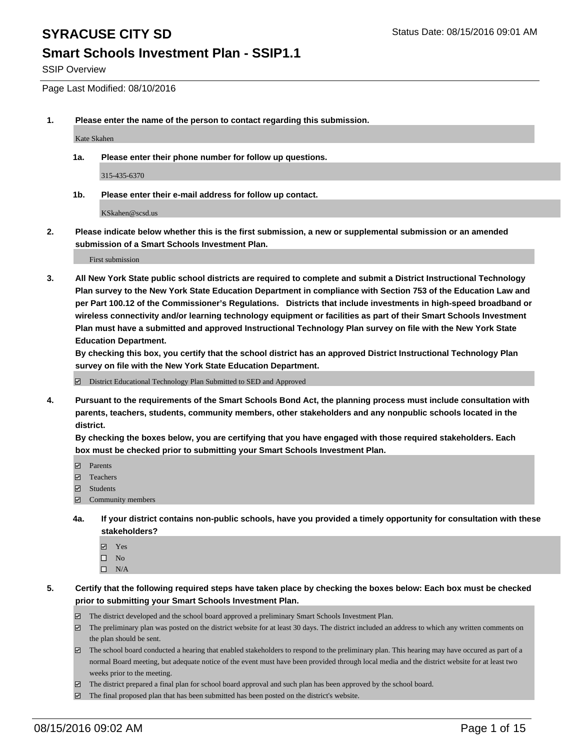#### **Smart Schools Investment Plan - SSIP1.1**

SSIP Overview

Page Last Modified: 08/10/2016

**1. Please enter the name of the person to contact regarding this submission.**

Kate Skahen

**1a. Please enter their phone number for follow up questions.**

315-435-6370

**1b. Please enter their e-mail address for follow up contact.**

KSkahen@scsd.us

**2. Please indicate below whether this is the first submission, a new or supplemental submission or an amended submission of a Smart Schools Investment Plan.**

First submission

**3. All New York State public school districts are required to complete and submit a District Instructional Technology Plan survey to the New York State Education Department in compliance with Section 753 of the Education Law and per Part 100.12 of the Commissioner's Regulations. Districts that include investments in high-speed broadband or wireless connectivity and/or learning technology equipment or facilities as part of their Smart Schools Investment Plan must have a submitted and approved Instructional Technology Plan survey on file with the New York State Education Department.** 

**By checking this box, you certify that the school district has an approved District Instructional Technology Plan survey on file with the New York State Education Department.**

District Educational Technology Plan Submitted to SED and Approved

**4. Pursuant to the requirements of the Smart Schools Bond Act, the planning process must include consultation with parents, teachers, students, community members, other stakeholders and any nonpublic schools located in the district.** 

**By checking the boxes below, you are certifying that you have engaged with those required stakeholders. Each box must be checked prior to submitting your Smart Schools Investment Plan.**

- **Parents**
- Teachers
- $\blacksquare$  Students
- Community members
- **4a. If your district contains non-public schools, have you provided a timely opportunity for consultation with these stakeholders?**
	- Yes  $\square$  No
	- $\square$  N/A
- **5. Certify that the following required steps have taken place by checking the boxes below: Each box must be checked prior to submitting your Smart Schools Investment Plan.**
	- The district developed and the school board approved a preliminary Smart Schools Investment Plan.
	- $\Box$  The preliminary plan was posted on the district website for at least 30 days. The district included an address to which any written comments on the plan should be sent.
	- $\Box$  The school board conducted a hearing that enabled stakeholders to respond to the preliminary plan. This hearing may have occured as part of a normal Board meeting, but adequate notice of the event must have been provided through local media and the district website for at least two weeks prior to the meeting.
	- The district prepared a final plan for school board approval and such plan has been approved by the school board.
	- $\boxdot$  The final proposed plan that has been submitted has been posted on the district's website.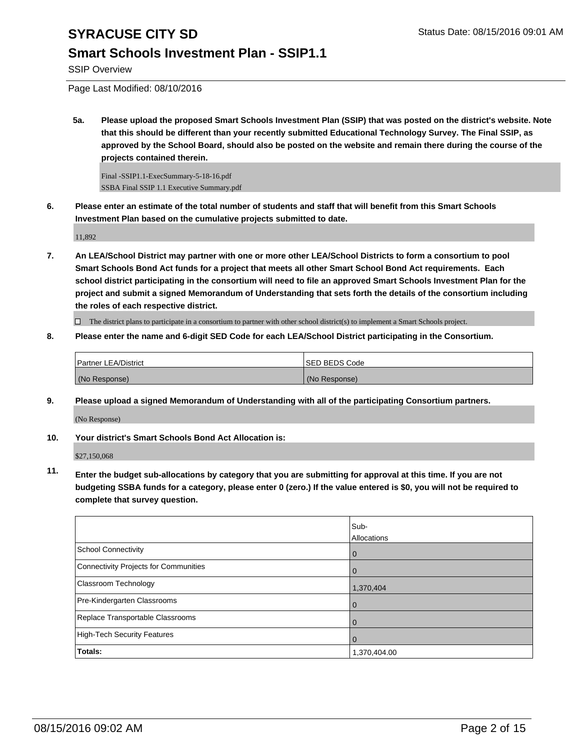### **Smart Schools Investment Plan - SSIP1.1**

SSIP Overview

Page Last Modified: 08/10/2016

**5a. Please upload the proposed Smart Schools Investment Plan (SSIP) that was posted on the district's website. Note that this should be different than your recently submitted Educational Technology Survey. The Final SSIP, as approved by the School Board, should also be posted on the website and remain there during the course of the projects contained therein.**

Final -SSIP1.1-ExecSummary-5-18-16.pdf SSBA Final SSIP 1.1 Executive Summary.pdf

**6. Please enter an estimate of the total number of students and staff that will benefit from this Smart Schools Investment Plan based on the cumulative projects submitted to date.**

11,892

**7. An LEA/School District may partner with one or more other LEA/School Districts to form a consortium to pool Smart Schools Bond Act funds for a project that meets all other Smart School Bond Act requirements. Each school district participating in the consortium will need to file an approved Smart Schools Investment Plan for the project and submit a signed Memorandum of Understanding that sets forth the details of the consortium including the roles of each respective district.**

 $\Box$  The district plans to participate in a consortium to partner with other school district(s) to implement a Smart Schools project.

**8. Please enter the name and 6-digit SED Code for each LEA/School District participating in the Consortium.**

| <b>Partner LEA/District</b> | <b>ISED BEDS Code</b> |
|-----------------------------|-----------------------|
| (No Response)               | (No Response)         |

**9. Please upload a signed Memorandum of Understanding with all of the participating Consortium partners.**

(No Response)

#### **10. Your district's Smart Schools Bond Act Allocation is:**

\$27,150,068

**11. Enter the budget sub-allocations by category that you are submitting for approval at this time. If you are not budgeting SSBA funds for a category, please enter 0 (zero.) If the value entered is \$0, you will not be required to complete that survey question.**

|                                       | Sub-<br>Allocations |
|---------------------------------------|---------------------|
|                                       |                     |
| School Connectivity                   | $\bf{0}$            |
| Connectivity Projects for Communities | O                   |
| <b>Classroom Technology</b>           | 1,370,404           |
| Pre-Kindergarten Classrooms           | $\Omega$            |
| Replace Transportable Classrooms      |                     |
| High-Tech Security Features           | O                   |
| Totals:                               | 1,370,404.00        |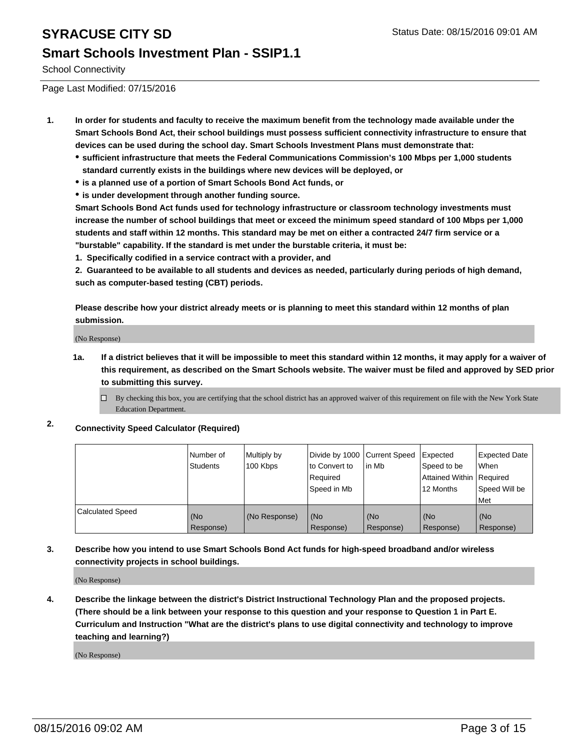### **Smart Schools Investment Plan - SSIP1.1**

School Connectivity

Page Last Modified: 07/15/2016

- **1. In order for students and faculty to receive the maximum benefit from the technology made available under the Smart Schools Bond Act, their school buildings must possess sufficient connectivity infrastructure to ensure that devices can be used during the school day. Smart Schools Investment Plans must demonstrate that:**
	- **sufficient infrastructure that meets the Federal Communications Commission's 100 Mbps per 1,000 students standard currently exists in the buildings where new devices will be deployed, or**
	- **is a planned use of a portion of Smart Schools Bond Act funds, or**
	- **is under development through another funding source.**

**Smart Schools Bond Act funds used for technology infrastructure or classroom technology investments must increase the number of school buildings that meet or exceed the minimum speed standard of 100 Mbps per 1,000 students and staff within 12 months. This standard may be met on either a contracted 24/7 firm service or a "burstable" capability. If the standard is met under the burstable criteria, it must be:**

**1. Specifically codified in a service contract with a provider, and**

**2. Guaranteed to be available to all students and devices as needed, particularly during periods of high demand, such as computer-based testing (CBT) periods.**

**Please describe how your district already meets or is planning to meet this standard within 12 months of plan submission.**

(No Response)

- **1a. If a district believes that it will be impossible to meet this standard within 12 months, it may apply for a waiver of this requirement, as described on the Smart Schools website. The waiver must be filed and approved by SED prior to submitting this survey.**
	- $\Box$  By checking this box, you are certifying that the school district has an approved waiver of this requirement on file with the New York State Education Department.
- **2. Connectivity Speed Calculator (Required)**

|                         | l Number of<br>Students | Multiply by<br>100 Kbps | Divide by 1000 Current Speed<br>lto Convert to<br>Reauired<br>Speed in Mb | lin Mb           | Expected<br>Speed to be<br>Attained Within   Required<br>12 Months | <b>Expected Date</b><br><b>When</b><br>Speed Will be<br>l Met |
|-------------------------|-------------------------|-------------------------|---------------------------------------------------------------------------|------------------|--------------------------------------------------------------------|---------------------------------------------------------------|
| <b>Calculated Speed</b> | (No<br>Response)        | (No Response)           | (No<br>Response)                                                          | (No<br>Response) | (No<br>Response)                                                   | l (No<br>Response)                                            |

#### **3. Describe how you intend to use Smart Schools Bond Act funds for high-speed broadband and/or wireless connectivity projects in school buildings.**

(No Response)

**4. Describe the linkage between the district's District Instructional Technology Plan and the proposed projects. (There should be a link between your response to this question and your response to Question 1 in Part E. Curriculum and Instruction "What are the district's plans to use digital connectivity and technology to improve teaching and learning?)**

(No Response)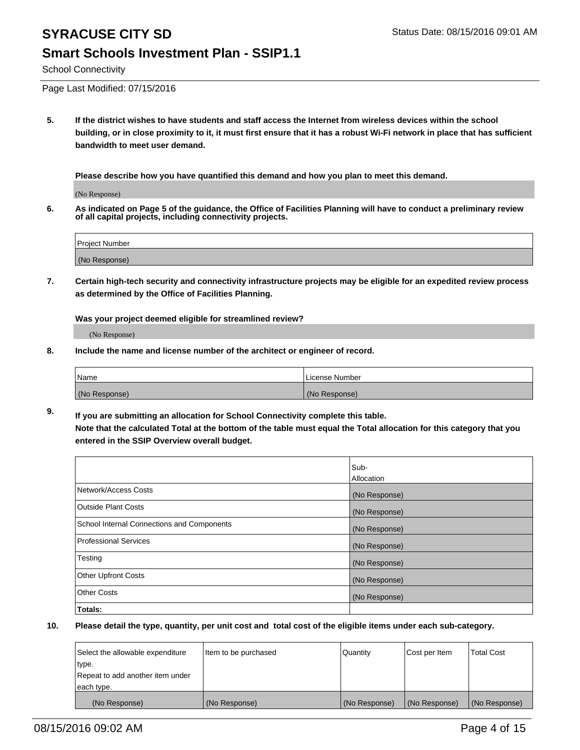#### School Connectivity

Page Last Modified: 07/15/2016

**5. If the district wishes to have students and staff access the Internet from wireless devices within the school building, or in close proximity to it, it must first ensure that it has a robust Wi-Fi network in place that has sufficient bandwidth to meet user demand.**

**Please describe how you have quantified this demand and how you plan to meet this demand.**

(No Response)

**6. As indicated on Page 5 of the guidance, the Office of Facilities Planning will have to conduct a preliminary review of all capital projects, including connectivity projects.**

| Project Number |  |
|----------------|--|
|                |  |
| (No Response)  |  |

**7. Certain high-tech security and connectivity infrastructure projects may be eligible for an expedited review process as determined by the Office of Facilities Planning.**

**Was your project deemed eligible for streamlined review?**

(No Response)

**8. Include the name and license number of the architect or engineer of record.**

| <b>Name</b>   | License Number |
|---------------|----------------|
| (No Response) | (No Response)  |

**9. If you are submitting an allocation for School Connectivity complete this table. Note that the calculated Total at the bottom of the table must equal the Total allocation for this category that you entered in the SSIP Overview overall budget.** 

|                                            | Sub-          |
|--------------------------------------------|---------------|
|                                            | Allocation    |
| Network/Access Costs                       | (No Response) |
| <b>Outside Plant Costs</b>                 | (No Response) |
| School Internal Connections and Components | (No Response) |
| Professional Services                      | (No Response) |
| Testing                                    | (No Response) |
| <b>Other Upfront Costs</b>                 | (No Response) |
| <b>Other Costs</b>                         | (No Response) |
| Totals:                                    |               |

| Select the allowable expenditure | Item to be purchased | <b>Quantity</b> | Cost per Item | <b>Total Cost</b> |
|----------------------------------|----------------------|-----------------|---------------|-------------------|
| type.                            |                      |                 |               |                   |
| Repeat to add another item under |                      |                 |               |                   |
| each type.                       |                      |                 |               |                   |
| (No Response)                    | (No Response)        | (No Response)   | (No Response) | (No Response)     |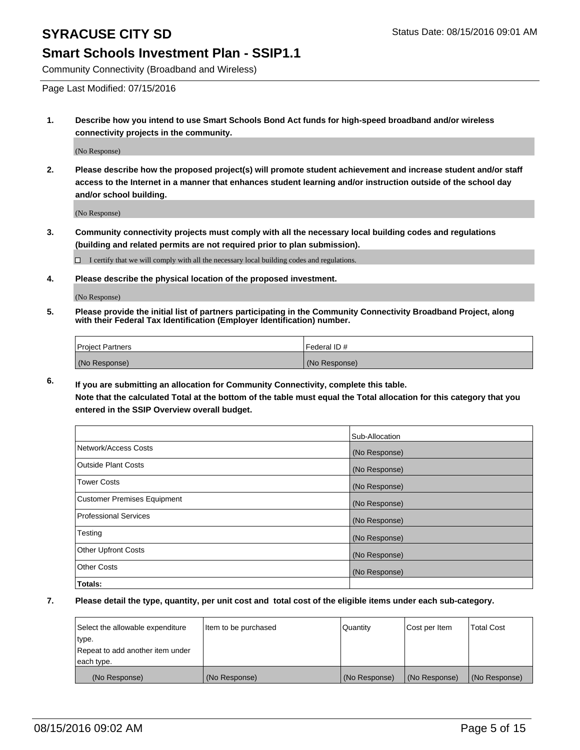#### **Smart Schools Investment Plan - SSIP1.1**

Community Connectivity (Broadband and Wireless)

Page Last Modified: 07/15/2016

**1. Describe how you intend to use Smart Schools Bond Act funds for high-speed broadband and/or wireless connectivity projects in the community.**

(No Response)

**2. Please describe how the proposed project(s) will promote student achievement and increase student and/or staff access to the Internet in a manner that enhances student learning and/or instruction outside of the school day and/or school building.**

(No Response)

**3. Community connectivity projects must comply with all the necessary local building codes and regulations (building and related permits are not required prior to plan submission).**

 $\Box$  I certify that we will comply with all the necessary local building codes and regulations.

**4. Please describe the physical location of the proposed investment.**

(No Response)

**5. Please provide the initial list of partners participating in the Community Connectivity Broadband Project, along with their Federal Tax Identification (Employer Identification) number.**

| Project Partners | <b>IFederal ID#</b> |
|------------------|---------------------|
| (No Response)    | (No Response)       |

**6. If you are submitting an allocation for Community Connectivity, complete this table. Note that the calculated Total at the bottom of the table must equal the Total allocation for this category that you**

**entered in the SSIP Overview overall budget.**

|                             | Sub-Allocation |
|-----------------------------|----------------|
| Network/Access Costs        | (No Response)  |
| Outside Plant Costs         | (No Response)  |
| <b>Tower Costs</b>          | (No Response)  |
| Customer Premises Equipment | (No Response)  |
| Professional Services       | (No Response)  |
| Testing                     | (No Response)  |
| Other Upfront Costs         | (No Response)  |
| Other Costs                 | (No Response)  |
| Totals:                     |                |

| Select the allowable expenditure | Item to be purchased | Quantity      | Cost per Item | <b>Total Cost</b> |
|----------------------------------|----------------------|---------------|---------------|-------------------|
| type.                            |                      |               |               |                   |
| Repeat to add another item under |                      |               |               |                   |
| each type.                       |                      |               |               |                   |
| (No Response)                    | (No Response)        | (No Response) | (No Response) | (No Response)     |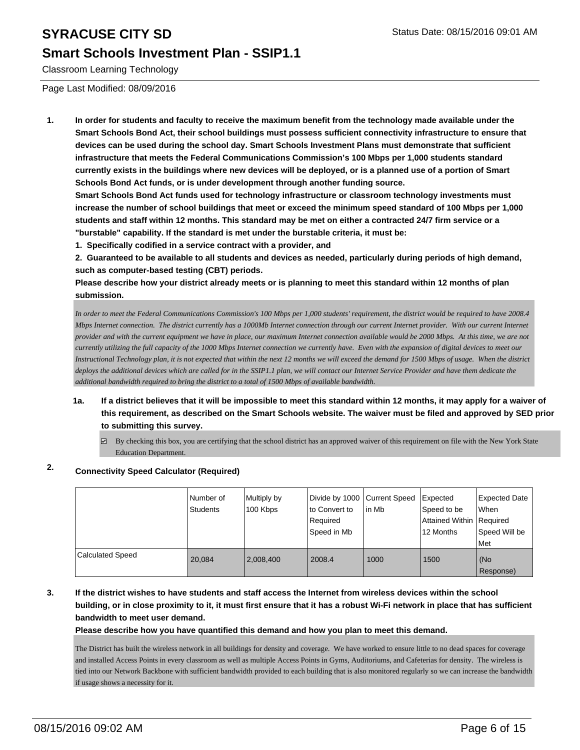#### **Smart Schools Investment Plan - SSIP1.1**

Classroom Learning Technology

Page Last Modified: 08/09/2016

**1. In order for students and faculty to receive the maximum benefit from the technology made available under the Smart Schools Bond Act, their school buildings must possess sufficient connectivity infrastructure to ensure that devices can be used during the school day. Smart Schools Investment Plans must demonstrate that sufficient infrastructure that meets the Federal Communications Commission's 100 Mbps per 1,000 students standard currently exists in the buildings where new devices will be deployed, or is a planned use of a portion of Smart Schools Bond Act funds, or is under development through another funding source.**

**Smart Schools Bond Act funds used for technology infrastructure or classroom technology investments must increase the number of school buildings that meet or exceed the minimum speed standard of 100 Mbps per 1,000 students and staff within 12 months. This standard may be met on either a contracted 24/7 firm service or a "burstable" capability. If the standard is met under the burstable criteria, it must be:**

**1. Specifically codified in a service contract with a provider, and**

**2. Guaranteed to be available to all students and devices as needed, particularly during periods of high demand, such as computer-based testing (CBT) periods.**

**Please describe how your district already meets or is planning to meet this standard within 12 months of plan submission.**

*In order to meet the Federal Communications Commission's 100 Mbps per 1,000 students' requirement, the district would be required to have 2008.4 Mbps Internet connection. The district currently has a 1000Mb Internet connection through our current Internet provider. With our current Internet provider and with the current equipment we have in place, our maximum Internet connection available would be 2000 Mbps. At this time, we are not currently utilizing the full capacity of the 1000 Mbps Internet connection we currently have. Even with the expansion of digital devices to meet our Instructional Technology plan, it is not expected that within the next 12 months we will exceed the demand for 1500 Mbps of usage. When the district deploys the additional devices which are called for in the SSIP1.1 plan, we will contact our Internet Service Provider and have them dedicate the additional bandwidth required to bring the district to a total of 1500 Mbps of available bandwidth.* 

- **1a. If a district believes that it will be impossible to meet this standard within 12 months, it may apply for a waiver of this requirement, as described on the Smart Schools website. The waiver must be filed and approved by SED prior to submitting this survey.**
	- $\boxtimes$  By checking this box, you are certifying that the school district has an approved waiver of this requirement on file with the New York State Education Department.

### **2. Connectivity Speed Calculator (Required)**

|                         | Number of<br>Students | Multiply by<br>100 Kbps | Divide by 1000 Current Speed<br>Ito Convert to<br>Required<br>Speed in Mb | l in Mb | Expected<br>Speed to be<br>Attained Within   Required<br>12 Months | Expected Date<br><b>When</b><br>Speed Will be<br>Met |
|-------------------------|-----------------------|-------------------------|---------------------------------------------------------------------------|---------|--------------------------------------------------------------------|------------------------------------------------------|
| <b>Calculated Speed</b> | 20.084                | 2.008.400               | 2008.4                                                                    | 1000    | 1500                                                               | l (No<br>Response)                                   |

**3. If the district wishes to have students and staff access the Internet from wireless devices within the school building, or in close proximity to it, it must first ensure that it has a robust Wi-Fi network in place that has sufficient bandwidth to meet user demand.**

**Please describe how you have quantified this demand and how you plan to meet this demand.**

The District has built the wireless network in all buildings for density and coverage. We have worked to ensure little to no dead spaces for coverage and installed Access Points in every classroom as well as multiple Access Points in Gyms, Auditoriums, and Cafeterias for density. The wireless is tied into our Network Backbone with sufficient bandwidth provided to each building that is also monitored regularly so we can increase the bandwidth if usage shows a necessity for it.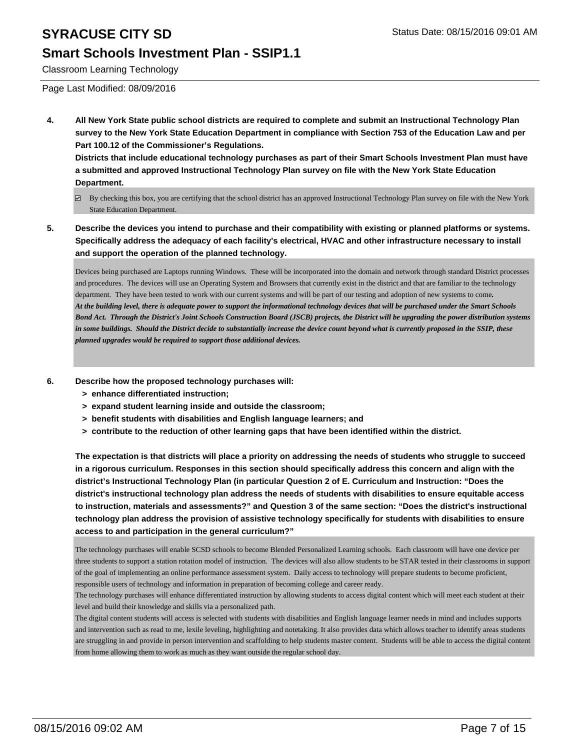#### **Smart Schools Investment Plan - SSIP1.1**

Classroom Learning Technology

Page Last Modified: 08/09/2016

**4. All New York State public school districts are required to complete and submit an Instructional Technology Plan survey to the New York State Education Department in compliance with Section 753 of the Education Law and per Part 100.12 of the Commissioner's Regulations.**

**Districts that include educational technology purchases as part of their Smart Schools Investment Plan must have a submitted and approved Instructional Technology Plan survey on file with the New York State Education Department.**

- By checking this box, you are certifying that the school district has an approved Instructional Technology Plan survey on file with the New York State Education Department.
- **5. Describe the devices you intend to purchase and their compatibility with existing or planned platforms or systems. Specifically address the adequacy of each facility's electrical, HVAC and other infrastructure necessary to install and support the operation of the planned technology.**

Devices being purchased are Laptops running Windows. These will be incorporated into the domain and network through standard District processes and procedures. The devices will use an Operating System and Browsers that currently exist in the district and that are familiar to the technology department. They have been tested to work with our current systems and will be part of our testing and adoption of new systems to come*. At the building level, there is adequate power to support the informational technology devices that will be purchased under the Smart Schools Bond Act. Through the District's Joint Schools Construction Board (JSCB) projects, the District will be upgrading the power distribution systems in some buildings. Should the District decide to substantially increase the device count beyond what is currently proposed in the SSIP, these planned upgrades would be required to support those additional devices.*

- **6. Describe how the proposed technology purchases will:**
	- **> enhance differentiated instruction;**
	- **> expand student learning inside and outside the classroom;**
	- **> benefit students with disabilities and English language learners; and**
	- **> contribute to the reduction of other learning gaps that have been identified within the district.**

**The expectation is that districts will place a priority on addressing the needs of students who struggle to succeed in a rigorous curriculum. Responses in this section should specifically address this concern and align with the district's Instructional Technology Plan (in particular Question 2 of E. Curriculum and Instruction: "Does the district's instructional technology plan address the needs of students with disabilities to ensure equitable access to instruction, materials and assessments?" and Question 3 of the same section: "Does the district's instructional technology plan address the provision of assistive technology specifically for students with disabilities to ensure access to and participation in the general curriculum?"**

The technology purchases will enable SCSD schools to become Blended Personalized Learning schools. Each classroom will have one device per three students to support a station rotation model of instruction. The devices will also allow students to be STAR tested in their classrooms in support of the goal of implementing an online performance assessment system. Daily access to technology will prepare students to become proficient, responsible users of technology and information in preparation of becoming college and career ready.

The technology purchases will enhance differentiated instruction by allowing students to access digital content which will meet each student at their level and build their knowledge and skills via a personalized path.

The digital content students will access is selected with students with disabilities and English language learner needs in mind and includes supports and intervention such as read to me, lexile leveling, highlighting and notetaking. It also provides data which allows teacher to identify areas students are struggling in and provide in person intervention and scaffolding to help students master content. Students will be able to access the digital content from home allowing them to work as much as they want outside the regular school day.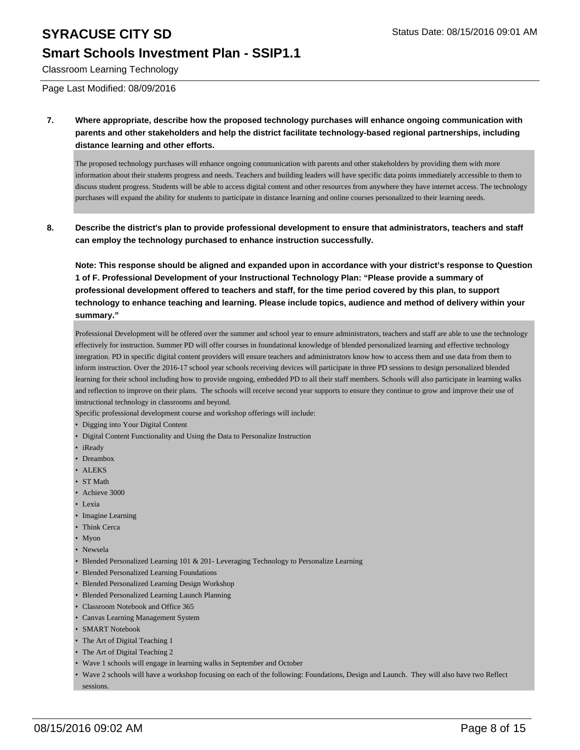#### **Smart Schools Investment Plan - SSIP1.1**

Classroom Learning Technology

Page Last Modified: 08/09/2016

**7. Where appropriate, describe how the proposed technology purchases will enhance ongoing communication with parents and other stakeholders and help the district facilitate technology-based regional partnerships, including distance learning and other efforts.**

The proposed technology purchases will enhance ongoing communication with parents and other stakeholders by providing them with more information about their student s progress and needs. Teachers and building leaders will have specific data points immediately accessible to them to discuss student progress. Students will be able to access digital content and other resources from anywhere they have internet access. The technology purchases will expand the ability for students to participate in distance learning and online courses personalized to their learning needs.

**8. Describe the district's plan to provide professional development to ensure that administrators, teachers and staff can employ the technology purchased to enhance instruction successfully.**

**Note: This response should be aligned and expanded upon in accordance with your district's response to Question 1 of F. Professional Development of your Instructional Technology Plan: "Please provide a summary of professional development offered to teachers and staff, for the time period covered by this plan, to support technology to enhance teaching and learning. Please include topics, audience and method of delivery within your summary."**

Professional Development will be offered over the summer and school year to ensure administrators, teachers and staff are able to use the technology effectively for instruction. Summer PD will offer courses in foundational knowledge of blended personalized learning and effective technology integration. PD in specific digital content providers will ensure teachers and administrators know how to access them and use data from them to inform instruction. Over the 2016-17 school year schools receiving devices will participate in three PD sessions to design personalized blended learning for their school including how to provide ongoing, embedded PD to all their staff members. Schools will also participate in learning walks and reflection to improve on their plans. The schools will receive second year supports to ensure they continue to grow and improve their use of instructional technology in classrooms and beyond.

Specific professional development course and workshop offerings will include:

- Digging into Your Digital Content
- Digital Content Functionality and Using the Data to Personalize Instruction
- iReady
- Dreambox
- ALEKS
- ST Math
- Achieve 3000
- Lexia
- Imagine Learning
- Think Cerca
- Myon
- Newsela
- Blended Personalized Learning 101 & 201- Leveraging Technology to Personalize Learning
- Blended Personalized Learning Foundations
- Blended Personalized Learning Design Workshop
- Blended Personalized Learning Launch Planning
- Classroom Notebook and Office 365
- Canvas Learning Management System
- SMART Notebook
- The Art of Digital Teaching 1
- The Art of Digital Teaching 2
- Wave 1 schools will engage in learning walks in September and October
- Wave 2 schools will have a workshop focusing on each of the following: Foundations, Design and Launch. They will also have two Reflect sessions. •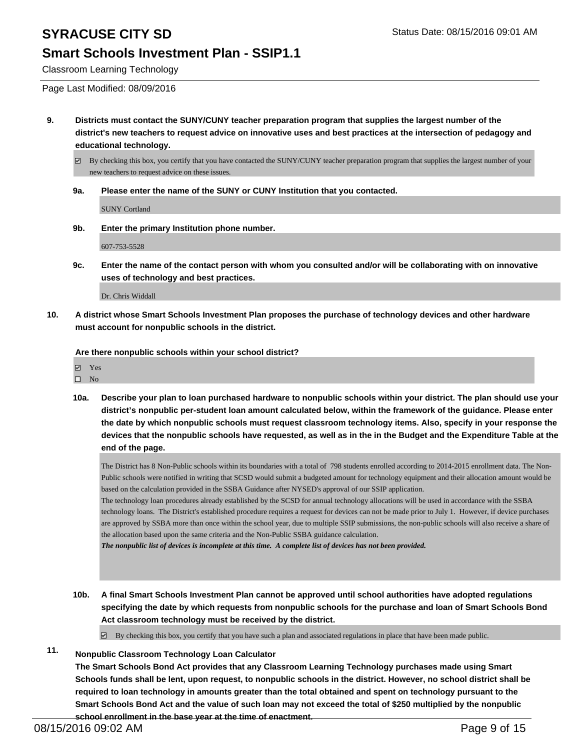### **Smart Schools Investment Plan - SSIP1.1**

Classroom Learning Technology

Page Last Modified: 08/09/2016

**9. Districts must contact the SUNY/CUNY teacher preparation program that supplies the largest number of the district's new teachers to request advice on innovative uses and best practices at the intersection of pedagogy and educational technology.**

By checking this box, you certify that you have contacted the SUNY/CUNY teacher preparation program that supplies the largest number of your new teachers to request advice on these issues.

**9a. Please enter the name of the SUNY or CUNY Institution that you contacted.**

SUNY Cortland

**9b. Enter the primary Institution phone number.**

607-753-5528

**9c. Enter the name of the contact person with whom you consulted and/or will be collaborating with on innovative uses of technology and best practices.**

Dr. Chris Widdall

**10. A district whose Smart Schools Investment Plan proposes the purchase of technology devices and other hardware must account for nonpublic schools in the district.**

**Are there nonpublic schools within your school district?**

| $\overline{\mathbf{v}}$<br>Y es |
|---------------------------------|
|---------------------------------|

- $\hfill \square$  No
- **10a. Describe your plan to loan purchased hardware to nonpublic schools within your district. The plan should use your district's nonpublic per-student loan amount calculated below, within the framework of the guidance. Please enter the date by which nonpublic schools must request classroom technology items. Also, specify in your response the devices that the nonpublic schools have requested, as well as in the in the Budget and the Expenditure Table at the end of the page.**

The District has 8 Non-Public schools within its boundaries with a total of 798 students enrolled according to 2014-2015 enrollment data. The Non-Public schools were notified in writing that SCSD would submit a budgeted amount for technology equipment and their allocation amount would be based on the calculation provided in the SSBA Guidance after NYSED's approval of our SSIP application.

The technology loan procedures already established by the SCSD for annual technology allocations will be used in accordance with the SSBA technology loans. The District's established procedure requires a request for devices can not be made prior to July 1. However, if device purchases are approved by SSBA more than once within the school year, due to multiple SSIP submissions, the non-public schools will also receive a share of the allocation based upon the same criteria and the Non-Public SSBA guidance calculation.

*The nonpublic list of devices is incomplete at this time. A complete list of devices has not been provided.*

**10b. A final Smart Schools Investment Plan cannot be approved until school authorities have adopted regulations specifying the date by which requests from nonpublic schools for the purchase and loan of Smart Schools Bond Act classroom technology must be received by the district.**

 $\boxtimes$  By checking this box, you certify that you have such a plan and associated regulations in place that have been made public.

### **11. Nonpublic Classroom Technology Loan Calculator**

**The Smart Schools Bond Act provides that any Classroom Learning Technology purchases made using Smart Schools funds shall be lent, upon request, to nonpublic schools in the district. However, no school district shall be required to loan technology in amounts greater than the total obtained and spent on technology pursuant to the Smart Schools Bond Act and the value of such loan may not exceed the total of \$250 multiplied by the nonpublic school enrollment in the base year at the time of enactment.**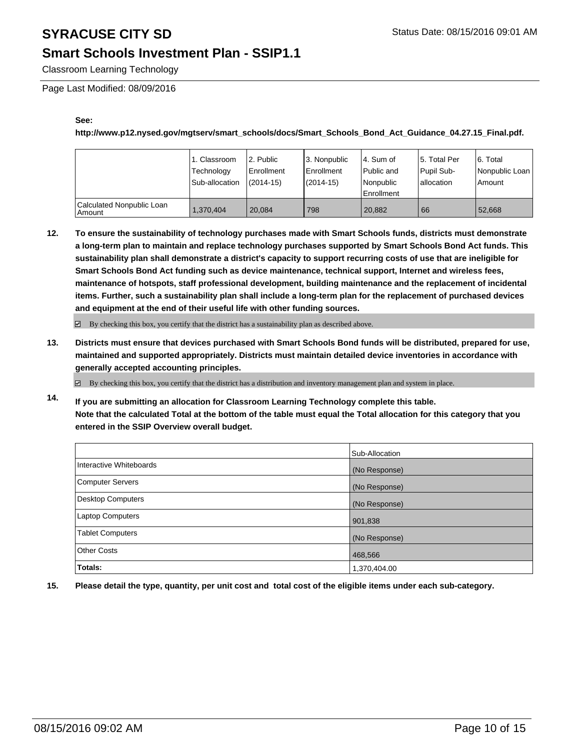### **Smart Schools Investment Plan - SSIP1.1**

Classroom Learning Technology

Page Last Modified: 08/09/2016

#### **See:**

**http://www.p12.nysed.gov/mgtserv/smart\_schools/docs/Smart\_Schools\_Bond\_Act\_Guidance\_04.27.15\_Final.pdf.**

|                                       | 1. Classroom<br>Technology<br>Sub-allocation | 2. Public<br>Enrollment<br>$(2014 - 15)$ | 3. Nonpublic<br>Enrollment<br>$(2014 - 15)$ | l 4. Sum of<br>Public and<br>Nonpublic<br>Enrollment | 15. Total Per<br>Pupil Sub-<br>lallocation | 6. Total<br>Nonpublic Loan<br>Amount |
|---------------------------------------|----------------------------------------------|------------------------------------------|---------------------------------------------|------------------------------------------------------|--------------------------------------------|--------------------------------------|
| Calculated Nonpublic Loan<br>l Amount | 1.370.404                                    | 20.084                                   | 798                                         | 20.882                                               | l 66                                       | 52.668                               |

**12. To ensure the sustainability of technology purchases made with Smart Schools funds, districts must demonstrate a long-term plan to maintain and replace technology purchases supported by Smart Schools Bond Act funds. This sustainability plan shall demonstrate a district's capacity to support recurring costs of use that are ineligible for Smart Schools Bond Act funding such as device maintenance, technical support, Internet and wireless fees, maintenance of hotspots, staff professional development, building maintenance and the replacement of incidental items. Further, such a sustainability plan shall include a long-term plan for the replacement of purchased devices and equipment at the end of their useful life with other funding sources.**

 $\boxdot$  By checking this box, you certify that the district has a sustainability plan as described above.

**13. Districts must ensure that devices purchased with Smart Schools Bond funds will be distributed, prepared for use, maintained and supported appropriately. Districts must maintain detailed device inventories in accordance with generally accepted accounting principles.**

 $\boxtimes$  By checking this box, you certify that the district has a distribution and inventory management plan and system in place.

**14. If you are submitting an allocation for Classroom Learning Technology complete this table. Note that the calculated Total at the bottom of the table must equal the Total allocation for this category that you entered in the SSIP Overview overall budget.**

|                          | Sub-Allocation |
|--------------------------|----------------|
| Interactive Whiteboards  | (No Response)  |
| <b>Computer Servers</b>  | (No Response)  |
| <b>Desktop Computers</b> | (No Response)  |
| <b>Laptop Computers</b>  | 901,838        |
| <b>Tablet Computers</b>  | (No Response)  |
| Other Costs              | 468,566        |
| <b>Totals:</b>           | 1,370,404.00   |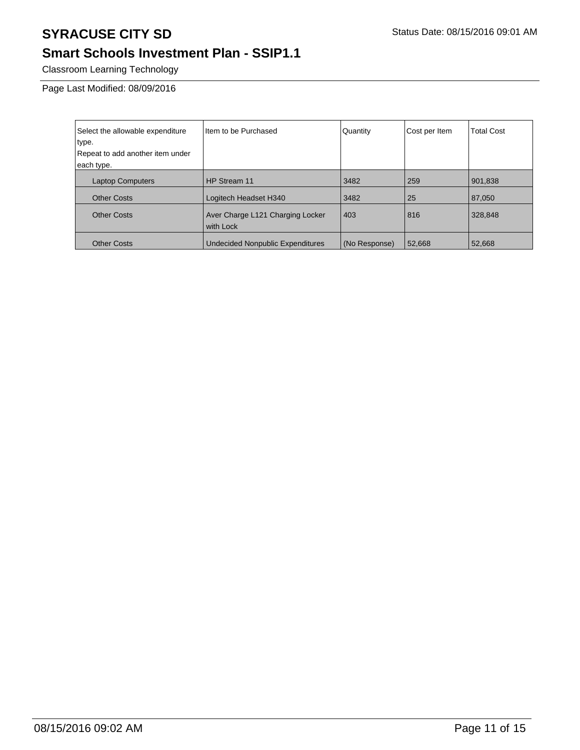## **Smart Schools Investment Plan - SSIP1.1**

Classroom Learning Technology

Page Last Modified: 08/09/2016

| Select the allowable expenditure<br>type.<br>Repeat to add another item under<br>each type. | Item to be Purchased                          | Quantity      | Cost per Item | <b>Total Cost</b> |
|---------------------------------------------------------------------------------------------|-----------------------------------------------|---------------|---------------|-------------------|
|                                                                                             |                                               |               |               |                   |
| <b>Laptop Computers</b>                                                                     | HP Stream 11                                  | 3482          | 259           | 901,838           |
| <b>Other Costs</b>                                                                          | Logitech Headset H340                         | 3482          | 25            | 87,050            |
| <b>Other Costs</b>                                                                          | Aver Charge L121 Charging Locker<br>with Lock | 403           | 816           | 328,848           |
| <b>Other Costs</b>                                                                          | <b>Undecided Nonpublic Expenditures</b>       | (No Response) | 52,668        | 52,668            |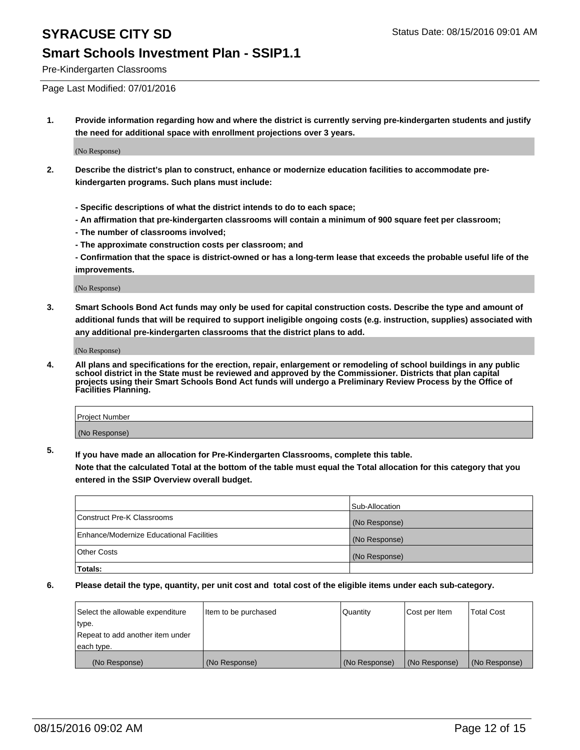#### **Smart Schools Investment Plan - SSIP1.1**

Pre-Kindergarten Classrooms

Page Last Modified: 07/01/2016

**1. Provide information regarding how and where the district is currently serving pre-kindergarten students and justify the need for additional space with enrollment projections over 3 years.**

(No Response)

- **2. Describe the district's plan to construct, enhance or modernize education facilities to accommodate prekindergarten programs. Such plans must include:**
	- **Specific descriptions of what the district intends to do to each space;**
	- **An affirmation that pre-kindergarten classrooms will contain a minimum of 900 square feet per classroom;**
	- **The number of classrooms involved;**
	- **The approximate construction costs per classroom; and**
	- **Confirmation that the space is district-owned or has a long-term lease that exceeds the probable useful life of the improvements.**

(No Response)

**3. Smart Schools Bond Act funds may only be used for capital construction costs. Describe the type and amount of additional funds that will be required to support ineligible ongoing costs (e.g. instruction, supplies) associated with any additional pre-kindergarten classrooms that the district plans to add.**

(No Response)

**4. All plans and specifications for the erection, repair, enlargement or remodeling of school buildings in any public school district in the State must be reviewed and approved by the Commissioner. Districts that plan capital projects using their Smart Schools Bond Act funds will undergo a Preliminary Review Process by the Office of Facilities Planning.**

| <b>Project Number</b> |  |
|-----------------------|--|
| (No Response)         |  |

**5. If you have made an allocation for Pre-Kindergarten Classrooms, complete this table.**

**Note that the calculated Total at the bottom of the table must equal the Total allocation for this category that you entered in the SSIP Overview overall budget.**

|                                          | Sub-Allocation |
|------------------------------------------|----------------|
| Construct Pre-K Classrooms               | (No Response)  |
| Enhance/Modernize Educational Facilities | (No Response)  |
| <b>Other Costs</b>                       | (No Response)  |
| Totals:                                  |                |

| Select the allowable expenditure | litem to be purchased | Quantity      | Cost per Item | <b>Total Cost</b> |
|----------------------------------|-----------------------|---------------|---------------|-------------------|
| type.                            |                       |               |               |                   |
| Repeat to add another item under |                       |               |               |                   |
| each type.                       |                       |               |               |                   |
| (No Response)                    | (No Response)         | (No Response) | (No Response) | (No Response)     |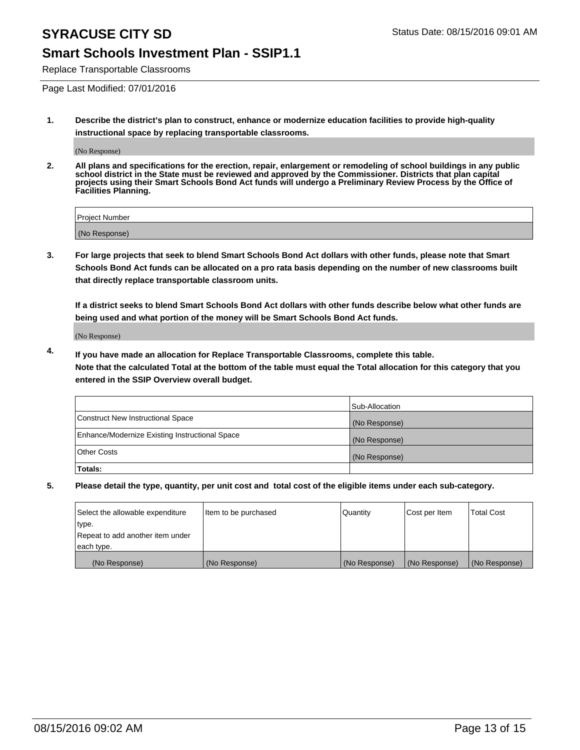#### **Smart Schools Investment Plan - SSIP1.1**

Replace Transportable Classrooms

Page Last Modified: 07/01/2016

**1. Describe the district's plan to construct, enhance or modernize education facilities to provide high-quality instructional space by replacing transportable classrooms.**

(No Response)

**2. All plans and specifications for the erection, repair, enlargement or remodeling of school buildings in any public school district in the State must be reviewed and approved by the Commissioner. Districts that plan capital projects using their Smart Schools Bond Act funds will undergo a Preliminary Review Process by the Office of Facilities Planning.**

| Project Number |  |
|----------------|--|
| (No Response)  |  |

**3. For large projects that seek to blend Smart Schools Bond Act dollars with other funds, please note that Smart Schools Bond Act funds can be allocated on a pro rata basis depending on the number of new classrooms built that directly replace transportable classroom units.**

**If a district seeks to blend Smart Schools Bond Act dollars with other funds describe below what other funds are being used and what portion of the money will be Smart Schools Bond Act funds.**

(No Response)

**4. If you have made an allocation for Replace Transportable Classrooms, complete this table. Note that the calculated Total at the bottom of the table must equal the Total allocation for this category that you entered in the SSIP Overview overall budget.**

|                                                | Sub-Allocation |
|------------------------------------------------|----------------|
| Construct New Instructional Space              | (No Response)  |
| Enhance/Modernize Existing Instructional Space | (No Response)  |
| Other Costs                                    | (No Response)  |
| Totals:                                        |                |

| Select the allowable expenditure | Item to be purchased | Quantity      | Cost per Item | <b>Total Cost</b> |
|----------------------------------|----------------------|---------------|---------------|-------------------|
| type.                            |                      |               |               |                   |
| Repeat to add another item under |                      |               |               |                   |
| each type.                       |                      |               |               |                   |
| (No Response)                    | (No Response)        | (No Response) | (No Response) | (No Response)     |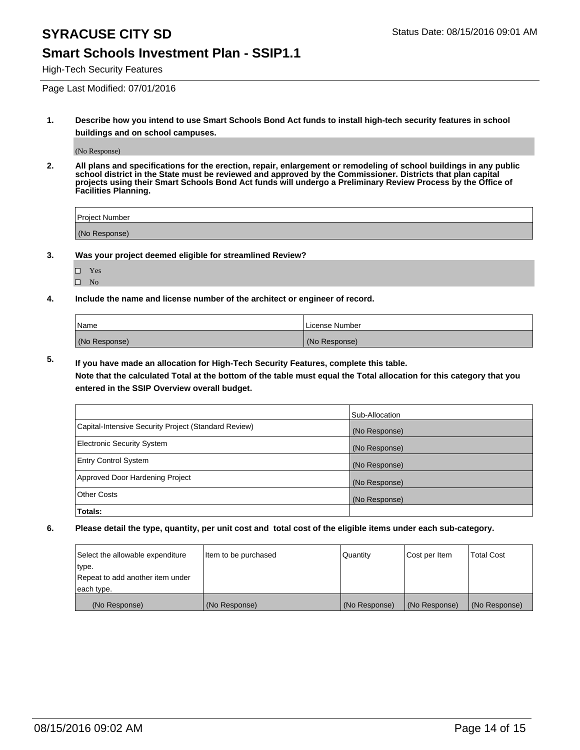#### **Smart Schools Investment Plan - SSIP1.1**

High-Tech Security Features

Page Last Modified: 07/01/2016

**1. Describe how you intend to use Smart Schools Bond Act funds to install high-tech security features in school buildings and on school campuses.**

(No Response)

**2. All plans and specifications for the erection, repair, enlargement or remodeling of school buildings in any public school district in the State must be reviewed and approved by the Commissioner. Districts that plan capital projects using their Smart Schools Bond Act funds will undergo a Preliminary Review Process by the Office of Facilities Planning.** 

| Project Number |  |
|----------------|--|
| (No Response)  |  |

**3. Was your project deemed eligible for streamlined Review?**

| П | Yes |  |
|---|-----|--|
| П | Nο  |  |

**4. Include the name and license number of the architect or engineer of record.**

| Name          | License Number |
|---------------|----------------|
| (No Response) | (No Response)  |

**5. If you have made an allocation for High-Tech Security Features, complete this table.**

**Note that the calculated Total at the bottom of the table must equal the Total allocation for this category that you entered in the SSIP Overview overall budget.**

|                                                      | Sub-Allocation |
|------------------------------------------------------|----------------|
| Capital-Intensive Security Project (Standard Review) | (No Response)  |
| <b>Electronic Security System</b>                    | (No Response)  |
| <b>Entry Control System</b>                          | (No Response)  |
| Approved Door Hardening Project                      | (No Response)  |
| <b>Other Costs</b>                                   | (No Response)  |
| Totals:                                              |                |

| Select the allowable expenditure | litem to be purchased | Quantity      | Cost per Item | <b>Total Cost</b> |
|----------------------------------|-----------------------|---------------|---------------|-------------------|
| type.                            |                       |               |               |                   |
| Repeat to add another item under |                       |               |               |                   |
| each type.                       |                       |               |               |                   |
| (No Response)                    | (No Response)         | (No Response) | (No Response) | (No Response)     |